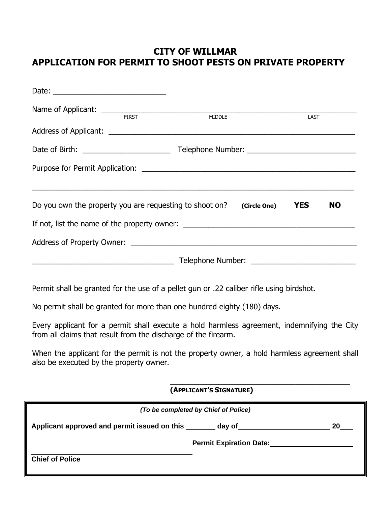# **CITY OF WILLMAR APPLICATION FOR PERMIT TO SHOOT PESTS ON PRIVATE PROPERTY**

|                                                                                                                                                               | MIDDLE                                                                                                                                                                                                                              | LAST      |
|---------------------------------------------------------------------------------------------------------------------------------------------------------------|-------------------------------------------------------------------------------------------------------------------------------------------------------------------------------------------------------------------------------------|-----------|
|                                                                                                                                                               |                                                                                                                                                                                                                                     |           |
|                                                                                                                                                               |                                                                                                                                                                                                                                     |           |
|                                                                                                                                                               |                                                                                                                                                                                                                                     |           |
| Do you own the property you are requesting to shoot on? $(Circle One)$ YES                                                                                    |                                                                                                                                                                                                                                     | <b>NO</b> |
|                                                                                                                                                               |                                                                                                                                                                                                                                     |           |
|                                                                                                                                                               |                                                                                                                                                                                                                                     |           |
| <u>Telephone Number: Electronic Community of Telephone Number:</u>                                                                                            |                                                                                                                                                                                                                                     |           |
| Permit shall be granted for the use of a pellet gun or .22 caliber rifle using birdshot.                                                                      |                                                                                                                                                                                                                                     |           |
| No permit shall be granted for more than one hundred eighty (180) days.                                                                                       |                                                                                                                                                                                                                                     |           |
| Every applicant for a permit shall execute a hold harmless agreement, indemnifying the City<br>from all claims that result from the discharge of the firearm. |                                                                                                                                                                                                                                     |           |
| When the applicant for the permit is not the property owner, a hold harmless agreement shall<br>also be executed by the property owner.                       |                                                                                                                                                                                                                                     |           |
|                                                                                                                                                               | (APPLICANT'S SIGNATURE)                                                                                                                                                                                                             |           |
|                                                                                                                                                               | (To be completed by Chief of Police)                                                                                                                                                                                                |           |
| Applicant approved and permit issued on this _______ day of_____________________                                                                              |                                                                                                                                                                                                                                     | 20        |
|                                                                                                                                                               | <b>Permit Expiration Date:</b> Noterwiss and the set of the set of the set of the set of the set of the set of the set of the set of the set of the set of the set of the set of the set of the set of the set of the set of the se |           |
| <b>Chief of Police</b>                                                                                                                                        |                                                                                                                                                                                                                                     |           |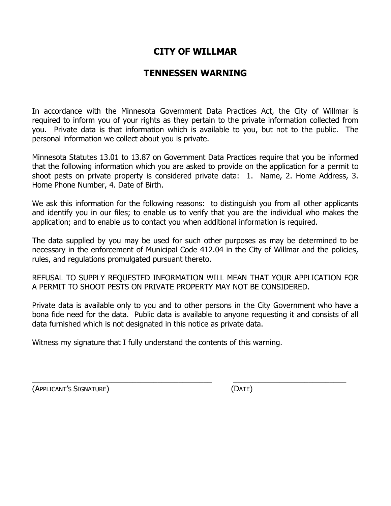# **CITY OF WILLMAR**

## **TENNESSEN WARNING**

In accordance with the Minnesota Government Data Practices Act, the City of Willmar is required to inform you of your rights as they pertain to the private information collected from you. Private data is that information which is available to you, but not to the public. The personal information we collect about you is private.

Minnesota Statutes 13.01 to 13.87 on Government Data Practices require that you be informed that the following information which you are asked to provide on the application for a permit to shoot pests on private property is considered private data: 1. Name, 2. Home Address, 3. Home Phone Number, 4. Date of Birth.

We ask this information for the following reasons: to distinguish you from all other applicants and identify you in our files; to enable us to verify that you are the individual who makes the application; and to enable us to contact you when additional information is required.

The data supplied by you may be used for such other purposes as may be determined to be necessary in the enforcement of Municipal Code 412.04 in the City of Willmar and the policies, rules, and regulations promulgated pursuant thereto.

REFUSAL TO SUPPLY REQUESTED INFORMATION WILL MEAN THAT YOUR APPLICATION FOR A PERMIT TO SHOOT PESTS ON PRIVATE PROPERTY MAY NOT BE CONSIDERED.

Private data is available only to you and to other persons in the City Government who have a bona fide need for the data. Public data is available to anyone requesting it and consists of all data furnished which is not designated in this notice as private data.

 $\overline{\phantom{a}}$  , and the contribution of the contribution of the contribution of the contribution of the contribution of the contribution of the contribution of the contribution of the contribution of the contribution of the

Witness my signature that I fully understand the contents of this warning.

(APPLICANT'S SIGNATURE) (DATE)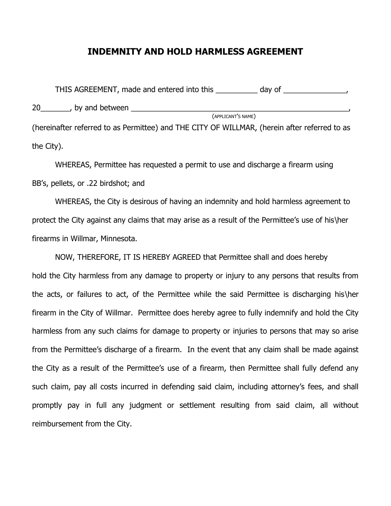### **INDEMNITY AND HOLD HARMLESS AGREEMENT**

THIS AGREEMENT, made and entered into this \_\_\_\_\_\_\_\_\_\_ day of \_\_\_\_\_\_\_\_\_\_\_\_\_\_\_, 20\_\_\_\_\_\_\_, by and between \_\_\_\_\_\_\_\_\_\_\_\_\_\_\_\_\_\_\_\_\_\_\_\_\_\_\_\_\_\_\_\_\_\_\_\_\_\_\_\_\_\_\_\_\_\_\_\_\_\_\_\_, (APPLICANT'S NAME) (hereinafter referred to as Permittee) and THE CITY OF WILLMAR, (herein after referred to as the City).

 WHEREAS, Permittee has requested a permit to use and discharge a firearm using BB's, pellets, or .22 birdshot; and

WHEREAS, the City is desirous of having an indemnity and hold harmless agreement to protect the City against any claims that may arise as a result of the Permittee's use of his\her firearms in Willmar, Minnesota.

NOW, THEREFORE, IT IS HEREBY AGREED that Permittee shall and does hereby hold the City harmless from any damage to property or injury to any persons that results from the acts, or failures to act, of the Permittee while the said Permittee is discharging his\her firearm in the City of Willmar. Permittee does hereby agree to fully indemnify and hold the City harmless from any such claims for damage to property or injuries to persons that may so arise from the Permittee's discharge of a firearm. In the event that any claim shall be made against the City as a result of the Permittee's use of a firearm, then Permittee shall fully defend any such claim, pay all costs incurred in defending said claim, including attorney's fees, and shall promptly pay in full any judgment or settlement resulting from said claim, all without reimbursement from the City.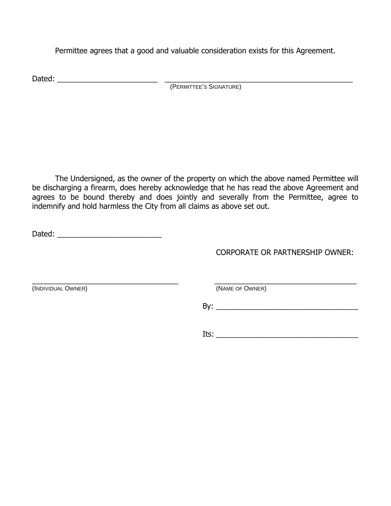Permittee agrees that a good and valuable consideration exists for this Agreement.

Dated: \_\_\_\_\_\_\_\_\_\_\_\_\_\_\_\_\_\_\_\_\_\_\_\_ \_\_\_\_\_\_\_\_\_\_\_\_\_\_\_\_\_\_\_\_\_\_\_\_\_\_\_\_\_\_\_\_\_\_\_\_\_\_\_\_\_\_\_\_\_ (PERMITTEE'S SIGNATURE)

The Undersigned, as the owner of the property on which the above named Permittee will be discharging a firearm, does hereby acknowledge that he has read the above Agreement and agrees to be bound thereby and does jointly and severally from the Permittee, agree to indemnify and hold harmless the City from all claims as above set out.

Dated: \_\_\_\_\_\_\_\_\_\_\_\_\_\_\_\_\_\_\_\_\_\_\_\_\_

CORPORATE OR PARTNERSHIP OWNER:

 $\overline{\phantom{a}}$  , and the contribution of the contribution of the contribution of the contribution of the contribution of the contribution of the contribution of the contribution of the contribution of the contribution of the (INDIVIDUAL OWNER) (NAME OF OWNER)

By: \_\_\_\_\_\_\_\_\_\_\_\_\_\_\_\_\_\_\_\_\_\_\_\_\_\_\_\_\_\_\_\_\_\_

 $Its: ____________$